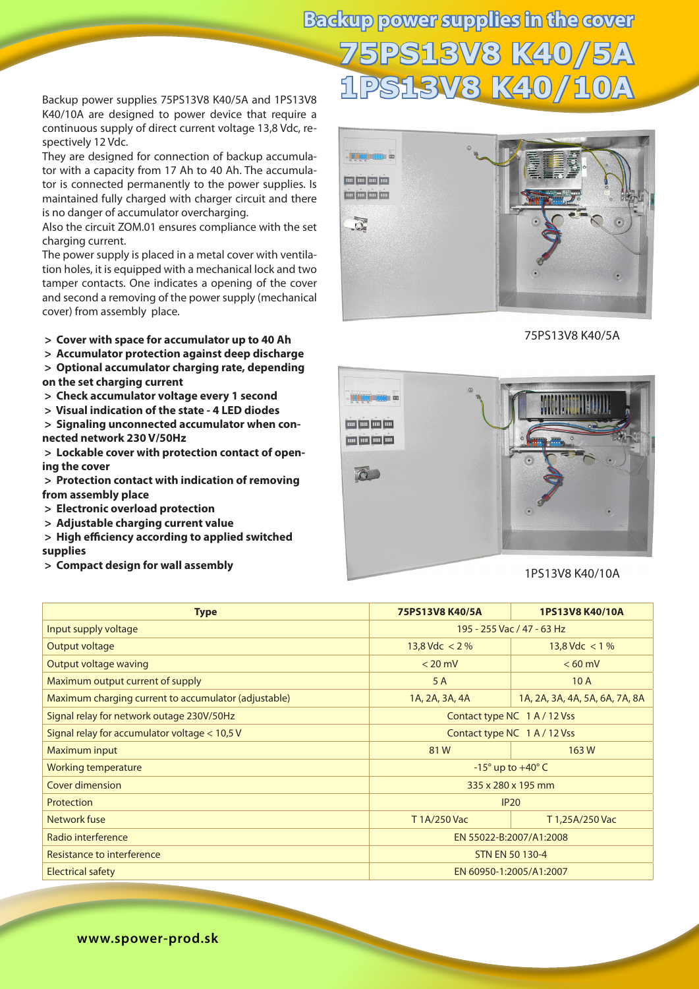Backup power supplies 75PS13V8 K40/5A and 1PS13V8 K40/10A are designed to power device that require a continuous supply of direct current voltage 13,8 Vdc, respectively 12 Vdc.

They are designed for connection of backup accumulator with a capacity from 17 Ah to 40 Ah. The accumulator is connected permanently to the power supplies. Is maintained fully charged with charger circuit and there is no danger of accumulator overcharging.

Also the circuit ZOM.01 ensures compliance with the set charging current.

The power supply is placed in a metal cover with ventilation holes, it is equipped with a mechanical lock and two tamper contacts. One indicates a opening of the cover and second a removing of the power supply (mechanical cover) from assembly place.

**> Cover with space for accumulator up to 40 Ah**

 **> Accumulator protection against deep discharge**

 **> Optional accumulator charging rate, depending on the set charging current**

 **> Check accumulator voltage every 1 second**

 **> Visual indication of the state - 4 LED diodes**

 **> Signaling unconnected accumulator when connected network 230 V/50Hz**

 **> Lockable cover with protection contact of opening the cover** 

 **> Protection contact with indication of removing from assembly place**

- **> Electronic overload protection**
- **> Adjustable charging current value**
- **> High efficiency according to applied switched supplies**

 **> Compact design for wall assembly**

75PS13V8 K40/5A

## 1PS13V8 K40/10A

| <b>Type</b>                                          | 75PS13V8 K40/5A                 | 1PS13V8 K40/10A                |  |  |
|------------------------------------------------------|---------------------------------|--------------------------------|--|--|
| Input supply voltage                                 | 195 - 255 Vac / 47 - 63 Hz      |                                |  |  |
| Output voltage                                       | 13,8 Vdc $<$ 2 %                | 13,8 Vdc $<$ 1 %               |  |  |
| <b>Output voltage waving</b>                         | $< 20$ mV                       | $< 60$ mV                      |  |  |
| Maximum output current of supply                     | 5 A                             | 10A                            |  |  |
| Maximum charging current to accumulator (adjustable) | 1A, 2A, 3A, 4A                  | 1A, 2A, 3A, 4A, 5A, 6A, 7A, 8A |  |  |
| Signal relay for network outage 230V/50Hz            | Contact type NC 1 A / 12 Vss    |                                |  |  |
| Signal relay for accumulator voltage $<$ 10,5 V      | Contact type NC 1 A / 12 Vss    |                                |  |  |
| Maximum input                                        | 81W                             | 163W                           |  |  |
| <b>Working temperature</b>                           | $-15^\circ$ up to $+40^\circ$ C |                                |  |  |
| Cover dimension                                      | 335 x 280 x 195 mm              |                                |  |  |
| Protection                                           | IP20                            |                                |  |  |
| Network fuse<br>T1A/250 Vac                          |                                 | T 1,25A/250 Vac                |  |  |
| Radio interference                                   | EN 55022-B:2007/A1:2008         |                                |  |  |
| Resistance to interference                           | <b>STN EN 50 130-4</b>          |                                |  |  |
| <b>Electrical safety</b>                             | EN 60950-1:2005/A1:2007         |                                |  |  |

## **75PS13V8 K40/5A 1PS13V8 K40/10A Backup power supplies in the cover**